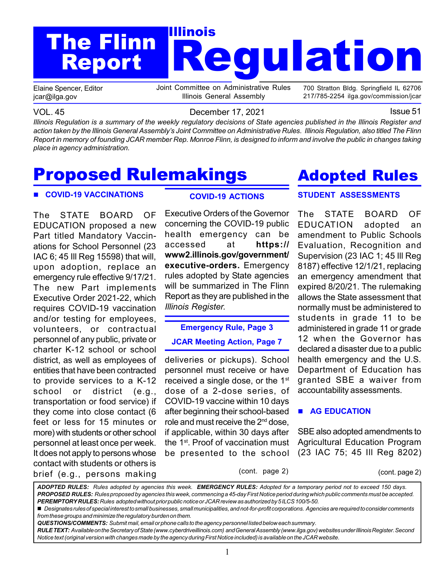# Regulation The Flinn **The Struck** Report

Elaine Spencer, Editor jcar@ilga.gov

Joint Committee on Administrative Rules Illinois General Assembly

700 Stratton Bldg. Springfield IL 62706 217/785-2254 ilga.gov/commission/jcar

VOL. 45 **December 17, 2021 ISSUE 51** 

Illinois Regulation is a summary of the weekly regulatory decisions of State agencies published in the Illinois Register and action taken by the Illinois General Assembly's Joint Committee on Administrative Rules. Illinois Regulation, also titled The Flinn Report in memory of founding JCAR member Rep. Monroe Flinn, is designed to inform and involve the public in changes taking place in agency administration.

# Proposed Rulemakings

#### COVID-19 VACCINATIONS

The STATE BOARD OF EDUCATION proposed a new Part titled Mandatory Vaccinations for School Personnel (23 IAC 6; 45 Ill Reg 15598) that will, upon adoption, replace an emergency rule effective 9/17/21. The new Part implements Executive Order 2021-22, which requires COVID-19 vaccination and/or testing for employees, volunteers, or contractual personnel of any public, private or charter K-12 school or school district, as well as employees of entities that have been contracted to provide services to a K-12 school or district (e.g., transportation or food service) if they come into close contact (6 feet or less for 15 minutes or more) with students or other school personnel at least once per week. It does not apply to persons whose contact with students or others is brief (e.g., persons making

### COVID-19 ACTIONS

Executive Orders of the Governor concerning the COVID-19 public health emergency can be accessed at https:// www2.illinois.gov/government/ executive-orders. Emergency rules adopted by State agencies will be summarized in The Flinn Report as they are published in the Illinois Register.

### Emergency Rule, Page 3 JCAR Meeting Action, Page 7

deliveries or pickups). School personnel must receive or have received a single dose, or the 1<sup>st</sup> dose of a 2-dose series, of COVID-19 vaccine within 10 days after beginning their school-based role and must receive the 2nd dose, if applicable, within 30 days after the 1<sup>st</sup>. Proof of vaccination must be presented to the school

### STUDENT ASSESSMENTS Adopted Rules

The STATE BOARD OF EDUCATION adopted an amendment to Public Schools Evaluation, Recognition and Supervision (23 IAC 1; 45 Ill Reg 8187) effective 12/1/21, replacing an emergency amendment that expired 8/20/21. The rulemaking allows the State assessment that normally must be administered to students in grade 11 to be administered in grade 11 or grade 12 when the Governor has declared a disaster due to a public health emergency and the U.S. Department of Education has granted SBE a waiver from accountability assessments.

#### **AG EDUCATION**

SBE also adopted amendments to Agricultural Education Program (23 IAC 75; 45 Ill Reg 8202)

(cont. page 2) (cont. page 2)

ADOPTED RULES: Rules adopted by agencies this week. EMERGENCY RULES: Adopted for a temporary period not to exceed 150 days. PROPOSED RULES: Rules proposed by agencies this week, commencing a 45-day First Notice period during which public comments must be accepted. PEREMPTORY RULES: Rules adopted without prior public notice or JCAR review as authorized by 5 ILCS 100/5-50.

Designates rules of special interest to small businesses, small municipalities, and not-for-profit corporations. Agencies are required to consider comments from these groups and minimize the regulatory burden on them.

QUESTIONS/COMMENTS: Submit mail, email or phone calls to the agency personnel listed below each summary.

RULE TEXT: Available on the Secretary of State (www.cyberdriveillinois.com) and General Assembly (www.ilga.gov) websites under Illinois Register. Second Notice text (original version with changes made by the agency during First Notice included) is available on the JCAR website.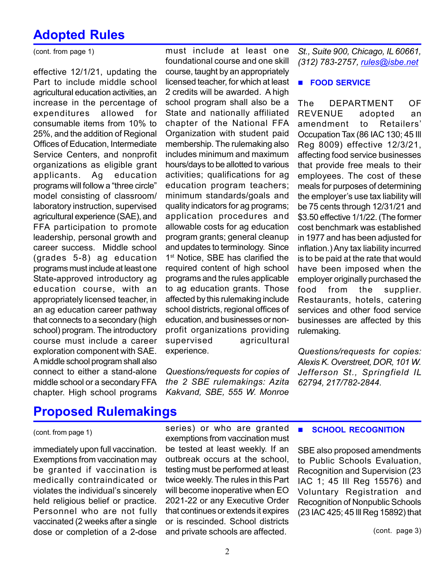### Adopted Rules

(cont. from page 1)

effective 12/1/21, updating the Part to include middle school agricultural education activities, an increase in the percentage of expenditures allowed for consumable items from 10% to 25%, and the addition of Regional Offices of Education, Intermediate Service Centers, and nonprofit organizations as eligible grant applicants. Ag education programs will follow a "three circle" model consisting of classroom/ laboratory instruction, supervised agricultural experience (SAE), and FFA participation to promote leadership, personal growth and career success. Middle school (grades 5-8) ag education programs must include at least one State-approved introductory ag education course, with an appropriately licensed teacher, in an ag education career pathway that connects to a secondary (high school) program. The introductory course must include a career exploration component with SAE. A middle school program shall also connect to either a stand-alone middle school or a secondary FFA chapter. High school programs

must include at least one foundational course and one skill course, taught by an appropriately licensed teacher, for which at least 2 credits will be awarded. A high school program shall also be a State and nationally affiliated chapter of the National FFA Organization with student paid membership. The rulemaking also includes minimum and maximum hours/days to be allotted to various activities; qualifications for ag education program teachers; minimum standards/goals and quality indicators for ag programs; application procedures and allowable costs for ag education program grants; general cleanup and updates to terminology. Since 1<sup>st</sup> Notice, SBE has clarified the required content of high school programs and the rules applicable to ag education grants. Those affected by this rulemaking include school districts, regional offices of education, and businesses or nonprofit organizations providing supervised agricultural experience.

Questions/requests for copies of the 2 SBE rulemakings: Azita Kakvand, SBE, 555 W. Monroe

St., Suite 900, Chicago, IL 60661, (312) 783-2757, rules@isbe.net

#### **FOOD SERVICE**

The DEPARTMENT OF REVENUE adopted an amendment to Retailers' Occupation Tax (86 IAC 130; 45 Ill Reg 8009) effective 12/3/21, affecting food service businesses that provide free meals to their employees. The cost of these meals for purposes of determining the employer's use tax liability will be 75 cents through 12/31/21 and \$3.50 effective 1/1/22. (The former cost benchmark was established in 1977 and has been adjusted for inflation.) Any tax liability incurred is to be paid at the rate that would have been imposed when the employer originally purchased the food from the supplier. Restaurants, hotels, catering services and other food service businesses are affected by this rulemaking.

Questions/requests for copies: Alexis K. Overstreet, DOR, 101 W. Jefferson St., Springfield IL 62794, 217/782-2844.

### Proposed Rulemakings

#### (cont. from page 1)

immediately upon full vaccination. Exemptions from vaccination may be granted if vaccination is medically contraindicated or violates the individual's sincerely held religious belief or practice. Personnel who are not fully vaccinated (2 weeks after a single dose or completion of a 2-dose

series) or who are granted exemptions from vaccination must be tested at least weekly. If an outbreak occurs at the school, testing must be performed at least twice weekly. The rules in this Part will become inoperative when EO 2021-22 or any Executive Order that continues or extends it expires or is rescinded. School districts and private schools are affected.

**SCHOOL RECOGNITION** 

SBE also proposed amendments to Public Schools Evaluation, Recognition and Supervision (23 IAC 1; 45 Ill Reg 15576) and Voluntary Registration and Recognition of Nonpublic Schools (23 IAC 425; 45 Ill Reg 15892) that

(cont. page 3)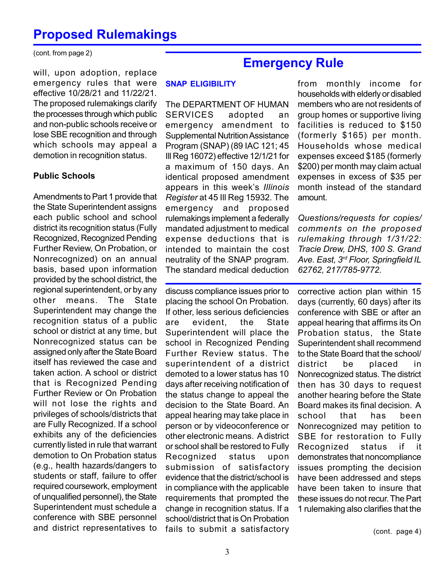(cont. from page 2)

will, upon adoption, replace emergency rules that were effective 10/28/21 and 11/22/21. The proposed rulemakings clarify the processes through which public and non-public schools receive or lose SBE recognition and through which schools may appeal a demotion in recognition status.

#### Public Schools

Amendments to Part 1 provide that the State Superintendent assigns each public school and school district its recognition status (Fully Recognized, Recognized Pending Further Review, On Probation, or Nonrecognized) on an annual basis, based upon information provided by the school district, the regional superintendent, or by any other means. The State Superintendent may change the recognition status of a public school or district at any time, but Nonrecognized status can be assigned only after the State Board itself has reviewed the case and taken action. A school or district that is Recognized Pending Further Review or On Probation will not lose the rights and privileges of schools/districts that are Fully Recognized. If a school exhibits any of the deficiencies currently listed in rule that warrant demotion to On Probation status (e.g., health hazards/dangers to students or staff, failure to offer required coursework, employment of unqualified personnel), the State Superintendent must schedule a conference with SBE personnel and district representatives to

### Emergency Rule

#### SNAP ELIGIBILITY

The DEPARTMENT OF HUMAN SERVICES adopted an emergency amendment to Supplemental Nutrition Assistance Program (SNAP) (89 IAC 121; 45 Ill Reg 16072) effective 12/1/21 for a maximum of 150 days. An identical proposed amendment appears in this week's Illinois Register at 45 Ill Reg 15932. The emergency and proposed rulemakings implement a federally mandated adjustment to medical expense deductions that is intended to maintain the cost neutrality of the SNAP program. The standard medical deduction

discuss compliance issues prior to placing the school On Probation. If other, less serious deficiencies are evident, the State Superintendent will place the school in Recognized Pending Further Review status. The superintendent of a district demoted to a lower status has 10 days after receiving notification of the status change to appeal the decision to the State Board. An appeal hearing may take place in person or by videoconference or other electronic means. A district or school shall be restored to Fully Recognized status upon submission of satisfactory evidence that the district/school is in compliance with the applicable requirements that prompted the change in recognition status. If a school/district that is On Probation fails to submit a satisfactory

from monthly income for households with elderly or disabled members who are not residents of group homes or supportive living facilities is reduced to \$150 (formerly \$165) per month. Households whose medical expenses exceed \$185 (formerly \$200) per month may claim actual expenses in excess of \$35 per month instead of the standard amount.

Questions/requests for copies/ comments on the proposed rulemaking through 1/31/22: Tracie Drew, DHS, 100 S. Grand Ave. East, 3<sup>rd</sup> Floor, Springfield IL 62762, 217/785-9772.

corrective action plan within 15 days (currently, 60 days) after its conference with SBE or after an appeal hearing that affirms its On Probation status, the State Superintendent shall recommend to the State Board that the school/ district be placed in Nonrecognized status. The district then has 30 days to request another hearing before the State Board makes its final decision. A school that has been Nonrecognized may petition to SBE for restoration to Fully Recognized status if it demonstrates that noncompliance issues prompting the decision have been addressed and steps have been taken to insure that these issues do not recur. The Part 1 rulemaking also clarifies that the

(cont. page 4)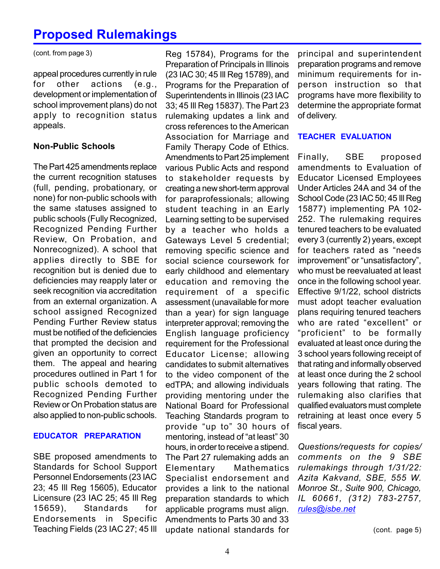(cont. from page 3)

appeal procedures currently in rule for other actions (e.g., development or implementation of school improvement plans) do not apply to recognition status appeals.

#### Non-Public Schools

The Part 425 amendments replace the current recognition statuses (full, pending, probationary, or none) for non-public schools with the same statuses assigned to public schools (Fully Recognized, Recognized Pending Further Review, On Probation, and Nonrecognized). A school that applies directly to SBE for recognition but is denied due to deficiencies may reapply later or seek recognition via accreditation from an external organization. A school assigned Recognized Pending Further Review status must be notified of the deficiencies that prompted the decision and given an opportunity to correct them. The appeal and hearing procedures outlined in Part 1 for public schools demoted to Recognized Pending Further Review or On Probation status are also applied to non-public schools.

#### EDUCATOR PREPARATION

SBE proposed amendments to Standards for School Support Personnel Endorsements (23 IAC 23; 45 Ill Reg 15605), Educator Licensure (23 IAC 25; 45 Ill Reg 15659), Standards for Endorsements in Specific Teaching Fields (23 IAC 27; 45 Ill

Reg 15784), Programs for the Preparation of Principals in Illinois (23 IAC 30; 45 Ill Reg 15789), and Programs for the Preparation of Superintendents in Illinois (23 IAC 33; 45 Ill Reg 15837). The Part 23 rulemaking updates a link and cross references to the American Association for Marriage and Family Therapy Code of Ethics. Amendments to Part 25 implement various Public Acts and respond to stakeholder requests by creating a new short-term approval for paraprofessionals; allowing student teaching in an Early Learning setting to be supervised by a teacher who holds a Gateways Level 5 credential; removing specific science and social science coursework for early childhood and elementary education and removing the requirement of a specific assessment (unavailable for more than a year) for sign language interpreter approval; removing the English language proficiency requirement for the Professional Educator License; allowing candidates to submit alternatives to the video component of the edTPA; and allowing individuals providing mentoring under the National Board for Professional Teaching Standards program to provide "up to" 30 hours of mentoring, instead of "at least" 30 hours, in order to receive a stipend. The Part 27 rulemaking adds an Elementary Mathematics Specialist endorsement and provides a link to the national preparation standards to which applicable programs must align. Amendments to Parts 30 and 33 update national standards for

principal and superintendent preparation programs and remove minimum requirements for inperson instruction so that programs have more flexibility to determine the appropriate format of delivery.

#### TEACHER EVALUATION

Finally, SBE proposed amendments to Evaluation of Educator Licensed Employees Under Articles 24A and 34 of the School Code (23 IAC 50; 45 Ill Reg 15877) implementing PA 102- 252. The rulemaking requires tenured teachers to be evaluated every 3 (currently 2) years, except for teachers rated as "needs improvement" or "unsatisfactory", who must be reevaluated at least once in the following school year. Effective 9/1/22, school districts must adopt teacher evaluation plans requiring tenured teachers who are rated "excellent" or "proficient" to be formally evaluated at least once during the 3 school years following receipt of that rating and informally observed at least once during the 2 school years following that rating. The rulemaking also clarifies that qualified evaluators must complete retraining at least once every 5 fiscal years.

Questions/requests for copies/ comments on the 9 SBE rulemakings through 1/31/22: Azita Kakvand, SBE, 555 W. Monroe St., Suite 900, Chicago, IL 60661, (312) 783-2757, rules@isbe.net

(cont. page 5)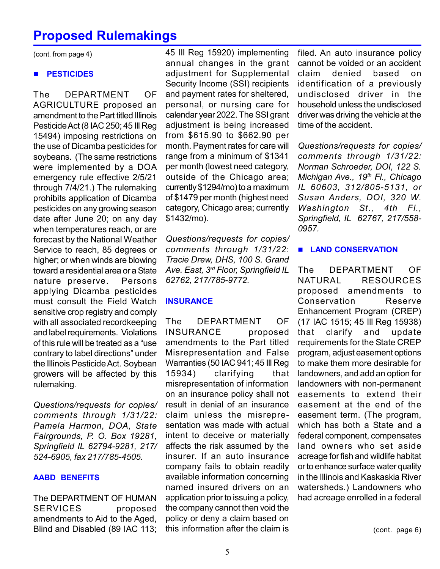(cont. from page 4)

#### **PESTICIDES**

The DEPARTMENT OF AGRICULTURE proposed an amendment to the Part titled Illinois Pesticide Act (8 IAC 250; 45 Ill Reg 15494) imposing restrictions on the use of Dicamba pesticides for soybeans. (The same restrictions were implemented by a DOA emergency rule effective 2/5/21 through 7/4/21.) The rulemaking prohibits application of Dicamba pesticides on any growing season date after June 20; on any day when temperatures reach, or are forecast by the National Weather Service to reach, 85 degrees or higher; or when winds are blowing toward a residential area or a State nature preserve. Persons applying Dicamba pesticides must consult the Field Watch sensitive crop registry and comply with all associated recordkeeping and label requirements. Violations of this rule will be treated as a "use contrary to label directions" under the Illinois Pesticide Act. Soybean growers will be affected by this rulemaking.

Questions/requests for copies/ comments through 1/31/22: Pamela Harmon, DOA, State Fairgrounds, P. O. Box 19281, Springfield IL 62794-9281, 217/ 524-6905, fax 217/785-4505.

#### AABD BENEFITS

The DEPARTMENT OF HUMAN SERVICES proposed amendments to Aid to the Aged, Blind and Disabled (89 IAC 113;

45 Ill Reg 15920) implementing annual changes in the grant adjustment for Supplemental Security Income (SSI) recipients and payment rates for sheltered, personal, or nursing care for calendar year 2022. The SSI grant adjustment is being increased from \$615.90 to \$662.90 per month. Payment rates for care will range from a minimum of \$1341 per month (lowest need category, outside of the Chicago area; currently \$1294/mo) to a maximum of \$1479 per month (highest need category, Chicago area; currently \$1432/mo).

Questions/requests for copies/ comments through 1/31/22: Tracie Drew, DHS, 100 S. Grand Ave. East, 3rd Floor, Springfield IL 62762, 217/785-9772.

#### **INSURANCE**

The DEPARTMENT OF INSURANCE proposed amendments to the Part titled Misrepresentation and False Warranties (50 IAC 941; 45 Ill Reg 15934) clarifying that misrepresentation of information on an insurance policy shall not result in denial of an insurance claim unless the misrepresentation was made with actual intent to deceive or materially affects the risk assumed by the insurer. If an auto insurance company fails to obtain readily available information concerning named insured drivers on an application prior to issuing a policy, the company cannot then void the policy or deny a claim based on this information after the claim is

filed. An auto insurance policy cannot be voided or an accident claim denied based on identification of a previously undisclosed driver in the household unless the undisclosed driver was driving the vehicle at the time of the accident.

Questions/requests for copies/ comments through 1/31/22: Norman Schroeder, DOI, 122 S. Michigan Ave., 19<sup>th</sup> Fl., Chicago IL 60603, 312/805-5131, or Susan Anders, DOI, 320 W. Washington St., 4th Fl., Springfield, IL 62767, 217/558- 0957.

#### **LAND CONSERVATION**

The DEPARTMENT OF NATURAL RESOURCES proposed amendments to Conservation Reserve Enhancement Program (CREP) (17 IAC 1515; 45 Ill Reg 15938) that clarify and update requirements for the State CREP program, adjust easement options to make them more desirable for landowners, and add an option for landowners with non-permanent easements to extend their easement at the end of the easement term. (The program, which has both a State and a federal component, compensates land owners who set aside acreage for fish and wildlife habitat or to enhance surface water quality in the Illinois and Kaskaskia River watersheds.) Landowners who had acreage enrolled in a federal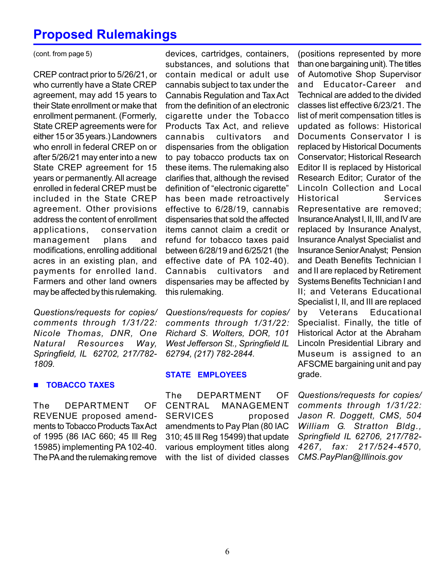(cont. from page 5)

CREP contract prior to 5/26/21, or who currently have a State CREP agreement, may add 15 years to their State enrollment or make that enrollment permanent. (Formerly, State CREP agreements were for either 15 or 35 years.) Landowners who enroll in federal CREP on or after 5/26/21 may enter into a new State CREP agreement for 15 years or permanently. All acreage enrolled in federal CREP must be included in the State CREP agreement. Other provisions address the content of enrollment applications, conservation management plans and modifications, enrolling additional acres in an existing plan, and payments for enrolled land. Farmers and other land owners may be affected by this rulemaking.

Questions/requests for copies/ comments through 1/31/22: Nicole Thomas, DNR, One Natural Resources Way, Springfield, IL 62702, 217/782- 1809.

#### **TOBACCO TAXES**

The DEPARTMENT OF REVENUE proposed amendments to Tobacco Products Tax Act of 1995 (86 IAC 660; 45 Ill Reg 15985) implementing PA 102-40. The PA and the rulemaking remove

devices, cartridges, containers, substances, and solutions that contain medical or adult use cannabis subject to tax under the Cannabis Regulation and Tax Act from the definition of an electronic cigarette under the Tobacco Products Tax Act, and relieve cannabis cultivators and dispensaries from the obligation to pay tobacco products tax on these items. The rulemaking also clarifies that, although the revised definition of "electronic cigarette" has been made retroactively effective to 6/28/19, cannabis dispensaries that sold the affected items cannot claim a credit or refund for tobacco taxes paid between 6/28/19 and 6/25/21 (the effective date of PA 102-40). Cannabis cultivators and dispensaries may be affected by this rulemaking.

Questions/requests for copies/ comments through 1/31/22: Richard S. Wolters, DOR, 101 West Jefferson St., Springfield IL 62794, (217) 782-2844.

#### STATE EMPLOYEES

The DEPARTMENT OF CENTRAL MANAGEMENT SERVICES proposed amendments to Pay Plan (80 IAC 310; 45 Ill Reg 15499) that update various employment titles along with the list of divided classes

(positions represented by more than one bargaining unit). The titles of Automotive Shop Supervisor and Educator-Career and Technical are added to the divided classes list effective 6/23/21. The list of merit compensation titles is updated as follows: Historical Documents Conservator I is replaced by Historical Documents Conservator; Historical Research Editor II is replaced by Historical Research Editor; Curator of the Lincoln Collection and Local Historical Services Representative are removed; Insurance Analyst I, II, III, and IV are replaced by Insurance Analyst, Insurance Analyst Specialist and Insurance Senior Analyst; Pension and Death Benefits Technician I and II are replaced by Retirement Systems Benefits Technician I and II; and Veterans Educational Specialist I, II, and III are replaced by Veterans Educational Specialist. Finally, the title of Historical Actor at the Abraham Lincoln Presidential Library and Museum is assigned to an AFSCME bargaining unit and pay grade.

Questions/requests for copies/ comments through 1/31/22: Jason R. Doggett, CMS, 504 William G. Stratton Bldg., Springfield IL 62706, 217/782- 4267, fax: 217/524-4570, CMS.PayPlan@Illinois.gov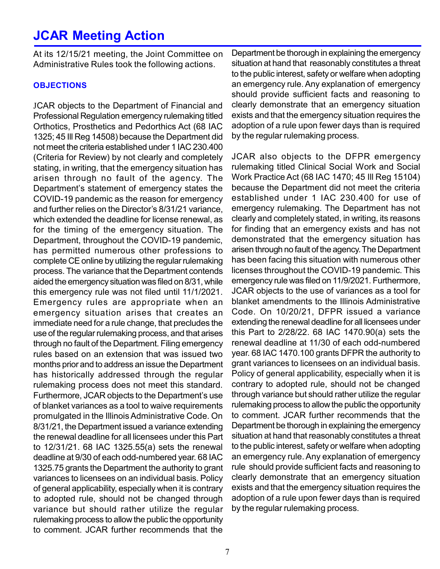### JCAR Meeting Action

At its 12/15/21 meeting, the Joint Committee on Administrative Rules took the following actions.

#### **OBJECTIONS**

JCAR objects to the Department of Financial and Professional Regulation emergency rulemaking titled Orthotics, Prosthetics and Pedorthics Act (68 IAC 1325; 45 Ill Reg 14508) because the Department did not meet the criteria established under 1 IAC 230.400 (Criteria for Review) by not clearly and completely stating, in writing, that the emergency situation has arisen through no fault of the agency. The Department's statement of emergency states the COVID-19 pandemic as the reason for emergency and further relies on the Director's 8/31/21 variance, which extended the deadline for license renewal, as for the timing of the emergency situation. The Department, throughout the COVID-19 pandemic, has permitted numerous other professions to complete CE online by utilizing the regular rulemaking process. The variance that the Department contends aided the emergency situation was filed on 8/31, while this emergency rule was not filed until 11/1/2021. Emergency rules are appropriate when an emergency situation arises that creates an immediate need for a rule change, that precludes the use of the regular rulemaking process, and that arises through no fault of the Department. Filing emergency rules based on an extension that was issued two months prior and to address an issue the Department has historically addressed through the regular rulemaking process does not meet this standard. Furthermore, JCAR objects to the Department's use of blanket variances as a tool to waive requirements promulgated in the Illinois Administrative Code. On 8/31/21, the Department issued a variance extending the renewal deadline for all licensees under this Part to 12/31/21. 68 IAC 1325.55(a) sets the renewal deadline at 9/30 of each odd-numbered year. 68 IAC 1325.75 grants the Department the authority to grant variances to licensees on an individual basis. Policy of general applicability, especially when it is contrary to adopted rule, should not be changed through variance but should rather utilize the regular rulemaking process to allow the public the opportunity to comment. JCAR further recommends that the

Department be thorough in explaining the emergency situation at hand that reasonably constitutes a threat to the public interest, safety or welfare when adopting an emergency rule. Any explanation of emergency should provide sufficient facts and reasoning to clearly demonstrate that an emergency situation exists and that the emergency situation requires the adoption of a rule upon fewer days than is required by the regular rulemaking process.

JCAR also objects to the DFPR emergency rulemaking titled Clinical Social Work and Social Work Practice Act (68 IAC 1470; 45 Ill Reg 15104) because the Department did not meet the criteria established under 1 IAC 230.400 for use of emergency rulemaking. The Department has not clearly and completely stated, in writing, its reasons for finding that an emergency exists and has not demonstrated that the emergency situation has arisen through no fault of the agency. The Department has been facing this situation with numerous other licenses throughout the COVID-19 pandemic. This emergency rule was filed on 11/9/2021. Furthermore, JCAR objects to the use of variances as a tool for blanket amendments to the Illinois Administrative Code. On 10/20/21, DFPR issued a variance extending the renewal deadline for all licensees under this Part to 2/28/22. 68 IAC 1470.90(a) sets the renewal deadline at 11/30 of each odd-numbered year. 68 IAC 1470.100 grants DFPR the authority to grant variances to licensees on an individual basis. Policy of general applicability, especially when it is contrary to adopted rule, should not be changed through variance but should rather utilize the regular rulemaking process to allow the public the opportunity to comment. JCAR further recommends that the Department be thorough in explaining the emergency situation at hand that reasonably constitutes a threat to the public interest, safety or welfare when adopting an emergency rule. Any explanation of emergency rule should provide sufficient facts and reasoning to clearly demonstrate that an emergency situation exists and that the emergency situation requires the adoption of a rule upon fewer days than is required by the regular rulemaking process.